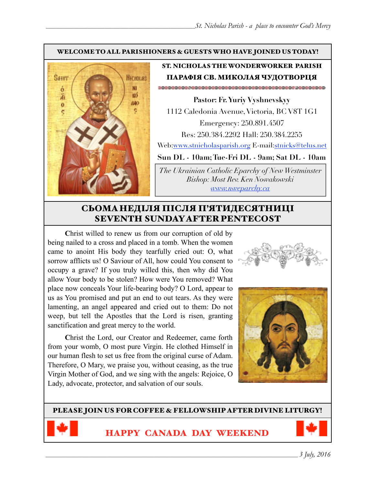#### WELCOME TO ALL PARISHIONERS & GUESTS WHO HAVE JOINED US TODAY!



# ST. NICHOLAS THE WONDERWORKER PARISH ПАРАФІЯ СВ. МИКОЛАЯ ЧУДОТВОРЦЯ

**Pastor: Fr. Yuriy Vyshnevskyy** 1112 Caledonia Avenue, Victoria, BC V8T 1G1 Emergency: 250.891.4507 Res: 250.384.2292 Hall: 250.384.2255 Web:[www.stnicholasparish.org](http://www.stnicholasparish.org) E-mail[:stnicks@telus.net](mailto:stnicks@telus.net)

**Sun DL - 10am; Tue-Fri DL - 9am; Sat DL - 10am** 

*The Ukrainian Catholic Eparchy of New Westminster Bishop: Most Rev. Ken Nowakowski [www.nweparchy.ca](http://www.nweparchy.ca)*

# СЬОМАНЕДІЛЯ ПІСЛЯ П'ЯТИДЕСЯТНИЦІ SEVENTH SUNDAY AFTER PENTECOST

**C**hrist willed to renew us from our corruption of old by being nailed to a cross and placed in a tomb. When the women came to anoint His body they tearfully cried out: O, what sorrow afflicts us! O Saviour of All, how could You consent to occupy a grave? If you truly willed this, then why did You allow Your body to be stolen? How were You removed? What place now conceals Your life-bearing body? O Lord, appear to us as You promised and put an end to out tears. As they were lamenting, an angel appeared and cried out to them: Do not weep, but tell the Apostles that the Lord is risen, granting sanctification and great mercy to the world.

**C**hrist the Lord, our Creator and Redeemer, came forth from your womb, O most pure Virgin. He clothed Himself in our human flesh to set us free from the original curse of Adam. Therefore, O Mary, we praise you, without ceasing, as the true Virgin Mother of God, and we sing with the angels: Rejoice, O Lady, advocate, protector, and salvation of our souls.



PLEASE JOIN US FOR COFFEE & FELLOWSHIP AFTER DIVINE LITURGY!



HAPPY CANADA DAY WEEKEND

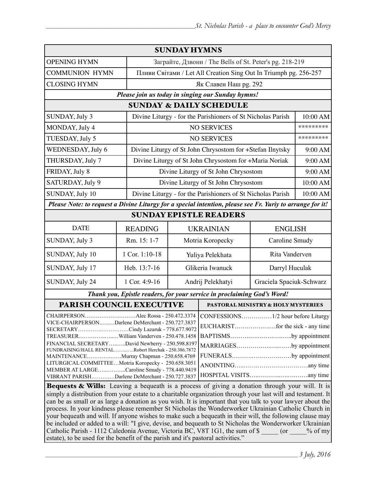| <b>SUNDAY HYMNS</b>                                                                                                                                                                                                                                                                                                           |                |                                                                  |                                    |                          |                |  |
|-------------------------------------------------------------------------------------------------------------------------------------------------------------------------------------------------------------------------------------------------------------------------------------------------------------------------------|----------------|------------------------------------------------------------------|------------------------------------|--------------------------|----------------|--|
| <b>OPENING HYMN</b>                                                                                                                                                                                                                                                                                                           |                | Заграйте, Дзвони / The Bells of St. Peter's pg. 218-219          |                                    |                          |                |  |
| <b>COMMUNION HYMN</b>                                                                                                                                                                                                                                                                                                         |                | Пливи Світами / Let All Creation Sing Out In Triumph pg. 256-257 |                                    |                          |                |  |
| <b>CLOSING HYMN</b>                                                                                                                                                                                                                                                                                                           |                | Як Славен Наш рд. 292                                            |                                    |                          |                |  |
| Please join us today in singing our Sunday hymns!                                                                                                                                                                                                                                                                             |                |                                                                  |                                    |                          |                |  |
| <b>SUNDAY &amp; DAILY SCHEDULE</b>                                                                                                                                                                                                                                                                                            |                |                                                                  |                                    |                          |                |  |
| Divine Liturgy - for the Parishioners of St Nicholas Parish<br>SUNDAY, July 3                                                                                                                                                                                                                                                 |                |                                                                  |                                    |                          | 10:00 AM       |  |
| MONDAY, July 4                                                                                                                                                                                                                                                                                                                |                |                                                                  | <b>NO SERVICES</b>                 |                          | *********      |  |
| TUESDAY, July 5                                                                                                                                                                                                                                                                                                               |                | <b>NO SERVICES</b>                                               |                                    |                          | *********      |  |
| WEDNESDAY, July 6                                                                                                                                                                                                                                                                                                             |                | Divine Liturgy of St John Chrysostom for +Stefan Ilnytsky        |                                    |                          | 9:00 AM        |  |
| THURSDAY, July 7                                                                                                                                                                                                                                                                                                              |                | Divine Liturgy of St John Chrysostom for +Maria Noriak           |                                    |                          | 9:00 AM        |  |
| FRIDAY, July 8                                                                                                                                                                                                                                                                                                                |                | Divine Liturgy of St John Chrysostom                             |                                    |                          | 9:00 AM        |  |
| SATURDAY, July 9                                                                                                                                                                                                                                                                                                              |                | Divine Liturgy of St John Chrysostom                             |                                    |                          | 10:00 AM       |  |
| SUNDAY, July 10                                                                                                                                                                                                                                                                                                               |                | Divine Liturgy - for the Parishioners of St Nicholas Parish      |                                    |                          | 10:00 AM       |  |
| Please Note: to request a Divine Liturgy for a special intention, please see Fr. Yuriy to arrange for it!                                                                                                                                                                                                                     |                |                                                                  |                                    |                          |                |  |
| <b>SUNDAY EPISTLE READERS</b>                                                                                                                                                                                                                                                                                                 |                |                                                                  |                                    |                          |                |  |
| <b>DATE</b>                                                                                                                                                                                                                                                                                                                   | <b>READING</b> | <b>UKRAINIAN</b>                                                 |                                    |                          | <b>ENGLISH</b> |  |
| SUNDAY, July 3                                                                                                                                                                                                                                                                                                                | Rm. 15: 1-7    | Motria Koropecky                                                 |                                    | Caroline Smudy           |                |  |
| SUNDAY, July 10                                                                                                                                                                                                                                                                                                               | 1 Cor. 1:10-18 | Yuliya Pelekhata                                                 |                                    | Rita Vanderven           |                |  |
| SUNDAY, July 17                                                                                                                                                                                                                                                                                                               | Heb. 13:7-16   | Glikeria Iwanuck                                                 |                                    | Darryl Huculak           |                |  |
| SUNDAY, July 24                                                                                                                                                                                                                                                                                                               | 1 Cor. 4:9-16  | Andrij Pelekhatyi                                                |                                    | Graciela Spaciuk-Schwarz |                |  |
| Thank you, Epistle readers, for your service in proclaiming God's Word!                                                                                                                                                                                                                                                       |                |                                                                  |                                    |                          |                |  |
| PARISH COUNCIL EXECUTIVE                                                                                                                                                                                                                                                                                                      |                |                                                                  | PASTORAL MINISTRY & HOLY MYSTERIES |                          |                |  |
| Alec Rossa - 250.472.3374   CONFESSIONS1/2 hour before Liturgy<br>CHAIRPERSON.                                                                                                                                                                                                                                                |                |                                                                  |                                    |                          |                |  |
| VICE-CHAIRPERSONDarlene DeMerchant - 250.727.3837<br>SECRETARYCindy Lazaruk - 778.677.9072                                                                                                                                                                                                                                    |                |                                                                  |                                    |                          |                |  |
| TREASURERWilliam Vanderven - 250.478.1458                                                                                                                                                                                                                                                                                     |                |                                                                  |                                    | BAPTISMSby appointment   |                |  |
| FINANCIAL SECRETARYDavid Newberry - 250.598.8197                                                                                                                                                                                                                                                                              |                |                                                                  |                                    | MARRIAGESby appointment  |                |  |
| FUNDRAISING/HALL RENTALRobert Herchak - 250.386.7872<br>MAINTENANCEMurray Chapman - 250.658.4769                                                                                                                                                                                                                              |                |                                                                  | FUNERALSby appointment             |                          |                |  |
| LITURGICAL COMMITTEEMotria Koropecky - 250.658.3051                                                                                                                                                                                                                                                                           |                |                                                                  |                                    |                          |                |  |
| MEMBER AT LARGECaroline Smudy - 778.440.9419                                                                                                                                                                                                                                                                                  |                |                                                                  |                                    |                          |                |  |
| VIBRANT PARISHDarlene DeMerchant - 250.727.3837                                                                                                                                                                                                                                                                               |                |                                                                  |                                    |                          |                |  |
| Bequests & Wills: Leaving a bequeath is a process of giving a donation through your will. It is<br>simply a distribution from your estate to a charitable organization through your last will and testament. It<br>can be as small or as large a donation as you wish. It is important that you talk to your lawyer about the |                |                                                                  |                                    |                          |                |  |

process. In your kindness please remember St Nicholas the Wonderworker Ukrainian Catholic Church in your bequeath and will. If anyone wishes to make such a bequeath in their will, the following clause may be included or added to a will: "I give, devise, and bequeath to St Nicholas the Wonderworker Ukrainian Catholic Parish - 1112 Caledonia Avenue, Victoria BC, V8T 1G1, the sum of \$ \_\_\_\_\_ (or \_\_\_\_% of my estate), to be used for the benefit of the parish and it's pastoral activities."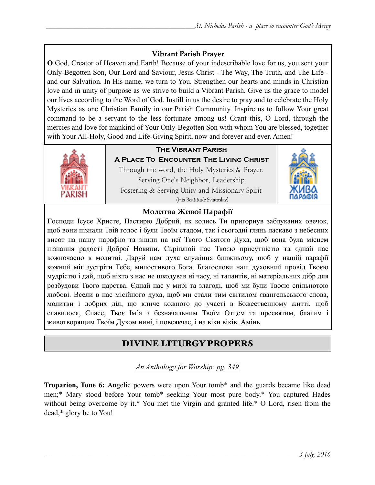## **Vibrant Parish Prayer**

**O** God, Creator of Heaven and Earth! Because of your indescribable love for us, you sent your Only-Begotten Son, Our Lord and Saviour, Jesus Christ - The Way, The Truth, and The Life and our Salvation. In His name, we turn to You. Strengthen our hearts and minds in Christian love and in unity of purpose as we strive to build a Vibrant Parish. Give us the grace to model our lives according to the Word of God. Instill in us the desire to pray and to celebrate the Holy Mysteries as one Christian Family in our Parish Community. Inspire us to follow Your great command to be a servant to the less fortunate among us! Grant this, O Lord, through the mercies and love for mankind of Your Only-Begotten Son with whom You are blessed, together with Your All-Holy, Good and Life-Giving Spirit, now and forever and ever. Amen!



# **The Vibrant Parish**

**A Place To Encounter The Living Christ** Through the word, the Holy Mysteries & Prayer, Serving One's Neighbor, Leadership Fostering & Serving Unity and Missionary Spirit (His Beatitude Sviatoslav)



## **Молитва Живої Парафії**

**Г**осподи Ісусе Христе, Пастирю Добрий, як колись Ти пригорнув заблуканих овечок, щоб вони пізнали Твій голос і були Твоїм стадом, так і сьогодні глянь ласкаво з небесних висот на нашу парафію та зішли на неї Твого Святого Духа, щоб вона була місцем пізнання радості Доброї Новини. Скріплюй нас Твоєю присутністю та єднай нас кожночасно в молитві. Даруй нам духа служіння ближньому, щоб у нашій парафії кожний міг зустріти Тебе, милостивого Бога. Благослови наш духовний провід Твоєю мудрістю і дай, щоб ніхто з нас не шкодував ні часу, ні талантів, ні матеріальних дібр для розбудови Твого царства. Єднай нас у мирі та злагоді, щоб ми були Твоєю спільнотою любові. Всели в нас місійного духа, щоб ми стали тим світилом євангельського слова, молитви і добрих діл, що кличе кожного до участі в Божественному житті, щоб славилося, Спасе, Твоє Ім'я з безначальним Твоїм Отцем та пресвятим, благим і животворящим Твоїм Духом нині, і повсякчас, і на віки віків. Амінь.

# DIVINE LITURGY PROPERS

## *An Anthology for Worship: pg. 349*

**Troparion, Tone 6:** Angelic powers were upon Your tomb\* and the guards became like dead men;\* Mary stood before Your tomb\* seeking Your most pure body.\* You captured Hades without being overcome by it.\* You met the Virgin and granted life.\* O Lord, risen from the dead,\* glory be to You!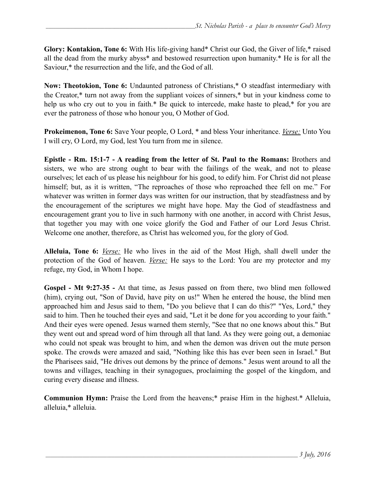**Glory: Kontakion, Tone 6:** With His life-giving hand\* Christ our God, the Giver of life,\* raised all the dead from the murky abyss\* and bestowed resurrection upon humanity.\* He is for all the Saviour,\* the resurrection and the life, and the God of all.

**Now: Theotokion, Tone 6:** Undaunted patroness of Christians,\* O steadfast intermediary with the Creator,\* turn not away from the suppliant voices of sinners,\* but in your kindness come to help us who cry out to you in faith.\* Be quick to intercede, make haste to plead,\* for you are ever the patroness of those who honour you, O Mother of God.

**Prokeimenon, Tone 6:** Save Your people, O Lord, \* and bless Your inheritance. *Verse:* Unto You I will cry, O Lord, my God, lest You turn from me in silence.

**Epistle - Rm. 15:1-7 - A reading from the letter of St. Paul to the Romans:** Brothers and sisters, we who are strong ought to bear with the failings of the weak, and not to please ourselves; let each of us please his neighbour for his good, to edify him. For Christ did not please himself; but, as it is written, "The reproaches of those who reproached thee fell on me." For whatever was written in former days was written for our instruction, that by steadfastness and by the encouragement of the scriptures we might have hope. May the God of steadfastness and encouragement grant you to live in such harmony with one another, in accord with Christ Jesus, that together you may with one voice glorify the God and Father of our Lord Jesus Christ. Welcome one another, therefore, as Christ has welcomed you, for the glory of God.

**Alleluia, Tone 6:** *Verse:* He who lives in the aid of the Most High, shall dwell under the protection of the God of heaven. *Verse:* He says to the Lord: You are my protector and my refuge, my God, in Whom I hope.

**Gospel - Mt 9:27-35 -** At that time, as Jesus passed on from there, two blind men followed (him), crying out, "Son of David, have pity on us!" When he entered the house, the blind men approached him and Jesus said to them, "Do you believe that I can do this?" "Yes, Lord," they said to him. Then he touched their eyes and said, "Let it be done for you according to your faith." And their eyes were opened. Jesus warned them sternly, "See that no one knows about this." But they went out and spread word of him through all that land. As they were going out, a demoniac who could not speak was brought to him, and when the demon was driven out the mute person spoke. The crowds were amazed and said, "Nothing like this has ever been seen in Israel." But the Pharisees said, "He drives out demons by the prince of demons." Jesus went around to all the towns and villages, teaching in their synagogues, proclaiming the gospel of the kingdom, and curing every disease and illness.

**Communion Hymn:** Praise the Lord from the heavens;\* praise Him in the highest.\* Alleluia, alleluia,\* alleluia.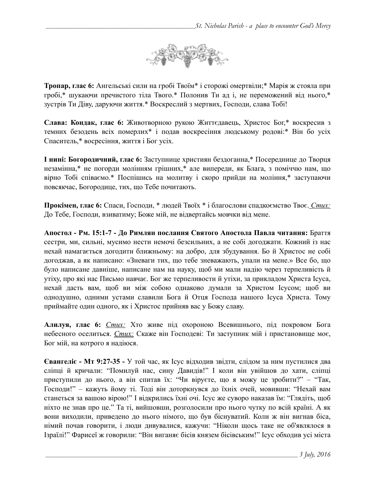

**Тропар, глас 6:** Ангельські сили на гробі Твоїм\* і сторожі омертвіли;\* Марія ж стояла при гробі,\* шукаючи пречистого тіла Твого.\* Полонив Ти ад і, не переможений від нього,\* зустрів Ти Діву, даруючи життя.\* Воскреслий з мертвих, Господи, слава Тобі!

**Слава: Кондак, глас 6:** Животворною рукою Життєдавець, Христос Бог,\* воскресив з темних безодень всіх померлих\* і подав воскресіння людському родові:\* Він бо усіх Спаситель,\* восресіння, життя і Бог усіх.

**І нині: Богородичний, глас 6:** Заступнице християн бездоганна,\* Посереднице до Творця незамінна,\* не погорди молінням грішних,\* але випереди, як Блага, з поміччю нам, що вірно Тобі співаємо.\* Поспішись на молитву і скоро прийди на моління,\* заступаючи повсякчас, Богородице, тих, що Тебе почитають.

**Прокімен, глас 6:** Спаси, Господи, \* людей Твоїх \* і благослови спадкоємство Твоє. *Стих:*  До Тебе, Господи, взиватиму; Боже мій, не відвертайсь мовчки від мене.

**Апостол - Рм. 15:1-7 - До Римлян послання Святого Апостола Павла читання:** Браття сестри, ми, сильні, мусимо нести немочі безсильних, а не собі догоджати. Кожний із нас нехай намагається догодити ближньому: на добро, для збудування. Бо й Христос не собі догоджав, а як написано: «Зневаги тих, що тебе зневажають, упали на мене.» Все бо, що було написане давніше, написане нам на науку, щоб ми мали надію через терпеливість й утіху, про які нас Письмо навчає. Бог же терпеливости й утіхи, за прикладом Христа Ісуса, нехай дасть вам, щоб ви між собою однаково думали за Христом Ісусом; щоб ви однодушно, одними устами славили Бога й Отця Господа нашого Ісуса Христа. Тому приймайте один одного, як і Христос прийняв вас у Божу славу.

**Алилуя, глас 6:** *Стих:* Хто живе під охороною Всевишнього, під покровом Бога небесного оселиться. *Стих:* Скаже він Господеві: Ти заступник мій і пристановище моє, Бог мій, на котрого я надіюся.

**Євангеліє - Мт 9:27-35 -** У той час, як Ісус відходив звідти, слідом за ним пустилися два сліпці й кричали: "Помилуй нас, сину Давидів!" І коли він увійшов до хати, сліпці приступили до нього, а він спитав їх: "Чи віруєте, що я можу це зробити?" – "Так, Господи!" – кажуть йому ті. Тоді він доторкнувся до їхніх очей, мовивши: "Нехай вам станеться за вашою вірою!" І відкрились їхні очі. Ісус же суворо наказав їм: "Глядіть, щоб ніхто не знав про це." Та ті, вийшовши, розголосили про нього чутку по всій країні. А як вони виходили, приведено до нього німого, що був біснуватий. Коли ж він вигнав біса, німий почав говорити, і люди дивувалися, кажучи: "Ніколи щось таке не об'являлося в Ізраїлі!" Фарисеї ж говорили: "Він виганяє бісів князем бісівським!" Ісус обходив усі міста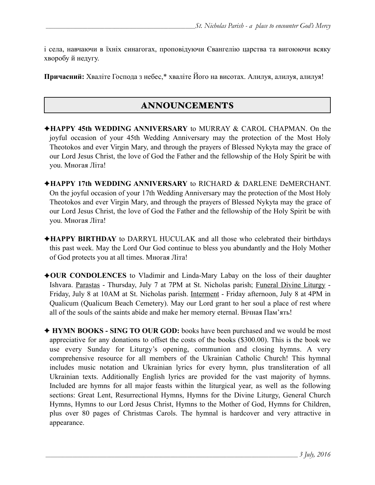і села, навчаючи в їхніх синагогах, проповідуючи Євангелію царства та вигоюючи всяку хворобу й недугу.

**Причасний:** Хваліте Господа з небес,\* хваліте Його на висотах. Алилуя, алилуя, алилуя!

# ANNOUNCEMENTS

- ✦**HAPPY 45th WEDDING ANNIVERSARY** to MURRAY & CAROL CHAPMAN. On the joyful occasion of your 45th Wedding Anniversary may the protection of the Most Holy Theotokos and ever Virgin Mary, and through the prayers of Blessed Nykyta may the grace of our Lord Jesus Christ, the love of God the Father and the fellowship of the Holy Spirit be with you. Многая Літа!
- ✦**HAPPY 17th WEDDING ANNIVERSARY** to RICHARD & DARLENE DeMERCHANT. On the joyful occasion of your 17th Wedding Anniversary may the protection of the Most Holy Theotokos and ever Virgin Mary, and through the prayers of Blessed Nykyta may the grace of our Lord Jesus Christ, the love of God the Father and the fellowship of the Holy Spirit be with you. Многая Літа!
- ✦**HAPPY BIRTHDAY** to DARRYL HUCULAK and all those who celebrated their birthdays this past week. May the Lord Our God continue to bless you abundantly and the Holy Mother of God protects you at all times. Многая Літа!
- ✦**OUR CONDOLENCES** to Vladimir and Linda-Mary Labay on the loss of their daughter Ishvara. Parastas - Thursday, July 7 at 7PM at St. Nicholas parish; Funeral Divine Liturgy - Friday, July 8 at 10AM at St. Nicholas parish. Interment - Friday afternoon, July 8 at 4PM in Qualicum (Qualicum Beach Cemetery). May our Lord grant to her soul a place of rest where all of the souls of the saints abide and make her memory eternal. Вічная Пам'ять!
- ✦ **HYMN BOOKS SING TO OUR GOD:** books have been purchased and we would be most appreciative for any donations to offset the costs of the books (\$300.00). This is the book we use every Sunday for Liturgy's opening, communion and closing hymns. A very comprehensive resource for all members of the Ukrainian Catholic Church! This hymnal includes music notation and Ukrainian lyrics for every hymn, plus transliteration of all Ukrainian texts. Additionally English lyrics are provided for the vast majority of hymns. Included are hymns for all major feasts within the liturgical year, as well as the following sections: Great Lent, Resurrectional Hymns, Hymns for the Divine Liturgy, General Church Hymns, Hymns to our Lord Jesus Christ, Hymns to the Mother of God, Hymns for Children, plus over 80 pages of Christmas Carols. The hymnal is hardcover and very attractive in appearance.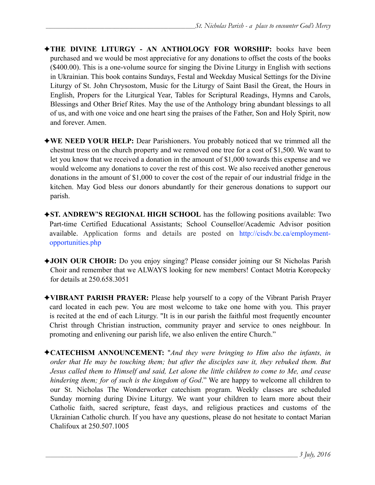- ✦**THE DIVINE LITURGY AN ANTHOLOGY FOR WORSHIP:** books have been purchased and we would be most appreciative for any donations to offset the costs of the books (\$400.00). This is a one-volume source for singing the Divine Liturgy in English with sections in Ukrainian. This book contains Sundays, Festal and Weekday Musical Settings for the Divine Liturgy of St. John Chrysostom, Music for the Liturgy of Saint Basil the Great, the Hours in English, Propers for the Liturgical Year, Tables for Scriptural Readings, Hymns and Carols, Blessings and Other Brief Rites. May the use of the Anthology bring abundant blessings to all of us, and with one voice and one heart sing the praises of the Father, Son and Holy Spirit, now and forever. Amen.
- ✦**WE NEED YOUR HELP:** Dear Parishioners. You probably noticed that we trimmed all the chestnut tress on the church property and we removed one tree for a cost of \$1,500. We want to let you know that we received a donation in the amount of \$1,000 towards this expense and we would welcome any donations to cover the rest of this cost. We also received another generous donations in the amount of \$1,000 to cover the cost of the repair of our industrial fridge in the kitchen. May God bless our donors abundantly for their generous donations to support our parish.
- ✦**ST. ANDREW'S REGIONAL HIGH SCHOOL** has the following positions available: Two Part-time Certified Educational Assistants; School Counsellor/Academic Advisor position available. [Application forms and details are posted on http://cisdv.bc.ca/employment](http://cisdv.bc.ca/employment-opportunities.php)opportunities.php
- ✦**JOIN OUR CHOIR:** Do you enjoy singing? Please consider joining our St Nicholas Parish Choir and remember that we ALWAYS looking for new members! Contact Motria Koropecky for details at 250.658.3051
- ✦**VIBRANT PARISH PRAYER:** Please help yourself to a copy of the Vibrant Parish Prayer card located in each pew. You are most welcome to take one home with you. This prayer is recited at the end of each Liturgy. "It is in our parish the faithful most frequently encounter Christ through Christian instruction, community prayer and service to ones neighbour. In promoting and enlivening our parish life, we also enliven the entire Church."
- ✦**CATECHISM ANNOUNCEMENT:** "*And they were bringing to Him also the infants, in order that He may be touching them; but after the disciples saw it, they rebuked them. But Jesus called them to Himself and said, Let alone the little children to come to Me, and cease hindering them; for of such is the kingdom of God*." We are happy to welcome all children to our St. Nicholas The Wonderworker catechism program. Weekly classes are scheduled Sunday morning during Divine Liturgy. We want your children to learn more about their Catholic faith, sacred scripture, feast days, and religious practices and customs of the Ukrainian Catholic church. If you have any questions, please do not hesitate to contact Marian Chalifoux at 250.507.1005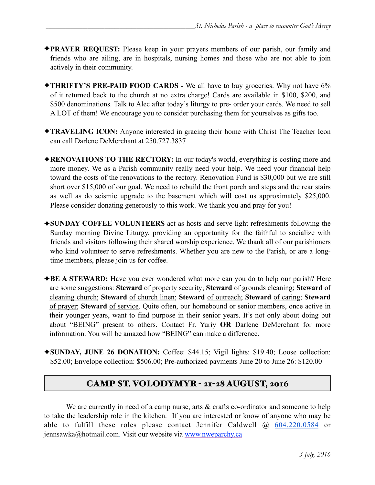- ✦**PRAYER REQUEST:** Please keep in your prayers members of our parish, our family and friends who are ailing, are in hospitals, nursing homes and those who are not able to join actively in their community.
- ✦**THRIFTY'S PRE-PAID FOOD CARDS** We all have to buy groceries. Why not have 6% of it returned back to the church at no extra charge! Cards are available in \$100, \$200, and \$500 denominations. Talk to Alec after today's liturgy to pre- order your cards. We need to sell A LOT of them! We encourage you to consider purchasing them for yourselves as gifts too.
- ✦**TRAVELING ICON:** Anyone interested in gracing their home with Christ The Teacher Icon can call Darlene DeMerchant at 250.727.3837
- ✦**RENOVATIONS TO THE RECTORY:** In our today's world, everything is costing more and more money. We as a Parish community really need your help. We need your financial help toward the costs of the renovations to the rectory. Renovation Fund is \$30,000 but we are still short over \$15,000 of our goal. We need to rebuild the front porch and steps and the rear stairs as well as do seismic upgrade to the basement which will cost us approximately \$25,000. Please consider donating generously to this work. We thank you and pray for you!
- ✦**SUNDAY COFFEE VOLUNTEERS** act as hosts and serve light refreshments following the Sunday morning Divine Liturgy, providing an opportunity for the faithful to socialize with friends and visitors following their shared worship experience. We thank all of our parishioners who kind volunteer to serve refreshments. Whether you are new to the Parish, or are a longtime members, please join us for coffee.
- ✦**BE A STEWARD:** Have you ever wondered what more can you do to help our parish? Here are some suggestions: **Steward** of property security; **Steward** of grounds cleaning; **Steward** of cleaning church; **Steward** of church linen; **Steward** of outreach; **Steward** of caring; **Steward** of prayer; **Steward** of service. Quite often, our homebound or senior members, once active in their younger years, want to find purpose in their senior years. It's not only about doing but about "BEING" present to others. Contact Fr. Yuriy **OR** Darlene DeMerchant for more information. You will be amazed how "BEING" can make a difference.
- ✦**SUNDAY, JUNE 26 DONATION:** Coffee: \$44.15; Vigil lights: \$19.40; Loose collection: \$52.00; Envelope collection: \$506.00; Pre-authorized payments June 20 to June 26: \$120.00

# CAMP ST. VOLODYMYR - 21-28 AUGUST, 2016

We are currently in need of a camp nurse, arts & crafts co-ordinator and someone to help to take the leadership role in the kitchen. If you are interested or know of anyone who may be able to fulfill these roles please contact Jennifer Caldwell @ 604.220.0584 or jennsawka@hotmail.com. Visit our website via [www.nweparchy.ca](http://www.nweparchy.ca/)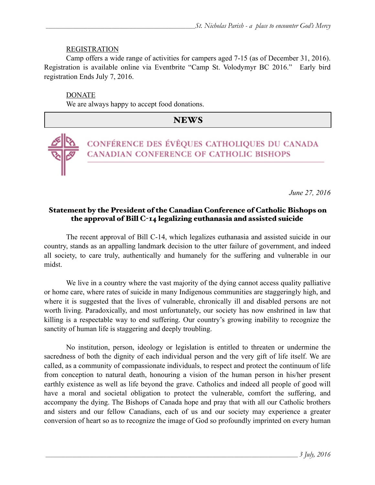#### REGISTRATION

Camp offers a wide range of activities for campers aged 7-15 (as of December 31, 2016). Registration is available online via Eventbrite "Camp St. Volodymyr BC 2016." Early bird registration Ends July 7, 2016.

DONATE

We are always happy to accept food donations.

## NEWS



CONFÉRENCE DES ÉVÊQUES CATHOLIQUES DU CANADA CANADIAN CONFERENCE OF CATHOLIC BISHOPS

*June 27, 2016*

### Statement by the President of the Canadian Conference of Catholic Bishops on the approval of Bill C-14 legalizing euthanasia and assisted suicide

The recent approval of Bill C-14, which legalizes euthanasia and assisted suicide in our country, stands as an appalling landmark decision to the utter failure of government, and indeed all society, to care truly, authentically and humanely for the suffering and vulnerable in our midst.

We live in a country where the vast majority of the dying cannot access quality palliative or home care, where rates of suicide in many Indigenous communities are staggeringly high, and where it is suggested that the lives of vulnerable, chronically ill and disabled persons are not worth living. Paradoxically, and most unfortunately, our society has now enshrined in law that killing is a respectable way to end suffering. Our country's growing inability to recognize the sanctity of human life is staggering and deeply troubling.

No institution, person, ideology or legislation is entitled to threaten or undermine the sacredness of both the dignity of each individual person and the very gift of life itself. We are called, as a community of compassionate individuals, to respect and protect the continuum of life from conception to natural death, honouring a vision of the human person in his/her present earthly existence as well as life beyond the grave. Catholics and indeed all people of good will have a moral and societal obligation to protect the vulnerable, comfort the suffering, and accompany the dying. The Bishops of Canada hope and pray that with all our Catholic brothers and sisters and our fellow Canadians, each of us and our society may experience a greater conversion of heart so as to recognize the image of God so profoundly imprinted on every human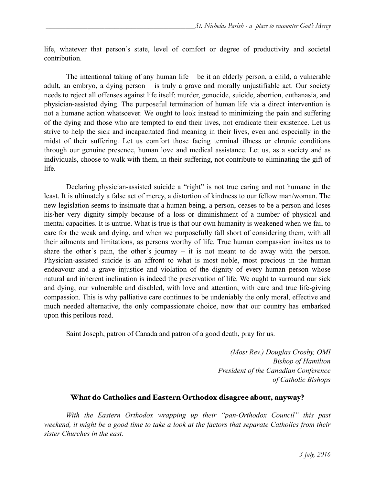life, whatever that person's state, level of comfort or degree of productivity and societal contribution.

The intentional taking of any human life – be it an elderly person, a child, a vulnerable adult, an embryo, a dying person – is truly a grave and morally unjustifiable act. Our society needs to reject all offenses against life itself: murder, genocide, suicide, abortion, euthanasia, and physician-assisted dying. The purposeful termination of human life via a direct intervention is not a humane action whatsoever. We ought to look instead to minimizing the pain and suffering of the dying and those who are tempted to end their lives, not eradicate their existence. Let us strive to help the sick and incapacitated find meaning in their lives, even and especially in the midst of their suffering. Let us comfort those facing terminal illness or chronic conditions through our genuine presence, human love and medical assistance. Let us, as a society and as individuals, choose to walk with them, in their suffering, not contribute to eliminating the gift of life.

 Declaring physician-assisted suicide a "right" is not true caring and not humane in the least. It is ultimately a false act of mercy, a distortion of kindness to our fellow man/woman. The new legislation seems to insinuate that a human being, a person, ceases to be a person and loses his/her very dignity simply because of a loss or diminishment of a number of physical and mental capacities. It is untrue. What is true is that our own humanity is weakened when we fail to care for the weak and dying, and when we purposefully fall short of considering them, with all their ailments and limitations, as persons worthy of life. True human compassion invites us to share the other's pain, the other's journey – it is not meant to do away with the person. Physician-assisted suicide is an affront to what is most noble, most precious in the human endeavour and a grave injustice and violation of the dignity of every human person whose natural and inherent inclination is indeed the preservation of life. We ought to surround our sick and dying, our vulnerable and disabled, with love and attention, with care and true life-giving compassion. This is why palliative care continues to be undeniably the only moral, effective and much needed alternative, the only compassionate choice, now that our country has embarked upon this perilous road.

Saint Joseph, patron of Canada and patron of a good death, pray for us.

*(Most Rev.) Douglas Crosby, OMI Bishop of Hamilton President of the Canadian Conference of Catholic Bishops*

## What do Catholics and Eastern Orthodox disagree about, anyway?

 *With the Eastern Orthodox wrapping up their "pan-Orthodox Council" this past weekend, it might be a good time to take a look at the factors that separate Catholics from their sister Churches in the east.*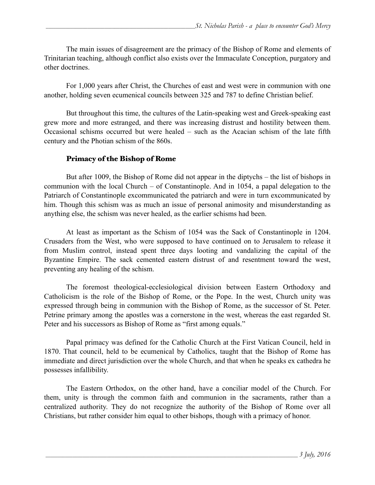The main issues of disagreement are the primacy of the Bishop of Rome and elements of Trinitarian teaching, although conflict also exists over the Immaculate Conception, purgatory and other doctrines.

For 1,000 years after Christ, the Churches of east and west were in communion with one another, holding seven ecumenical councils between 325 and 787 to define Christian belief.

But throughout this time, the cultures of the Latin-speaking west and Greek-speaking east grew more and more estranged, and there was increasing distrust and hostility between them. Occasional schisms occurred but were healed – such as the Acacian schism of the late fifth century and the Photian schism of the 860s.

## Primacy of the Bishop of Rome

But after 1009, the Bishop of Rome did not appear in the diptychs – the list of bishops in communion with the local Church – of Constantinople. And in 1054, a papal delegation to the Patriarch of Constantinople excommunicated the patriarch and were in turn excommunicated by him. Though this schism was as much an issue of personal animosity and misunderstanding as anything else, the schism was never healed, as the earlier schisms had been.

 At least as important as the Schism of 1054 was the Sack of Constantinople in 1204. Crusaders from the West, who were supposed to have continued on to Jerusalem to release it from Muslim control, instead spent three days looting and vandalizing the capital of the Byzantine Empire. The sack cemented eastern distrust of and resentment toward the west, preventing any healing of the schism.

The foremost theological-ecclesiological division between Eastern Orthodoxy and Catholicism is the role of the Bishop of Rome, or the Pope. In the west, Church unity was expressed through being in communion with the Bishop of Rome, as the successor of St. Peter. Petrine primary among the apostles was a cornerstone in the west, whereas the east regarded St. Peter and his successors as Bishop of Rome as "first among equals."

Papal primacy was defined for the Catholic Church at the First Vatican Council, held in 1870. That council, held to be ecumenical by Catholics, taught that the Bishop of Rome has immediate and direct jurisdiction over the whole Church, and that when he speaks ex cathedra he possesses infallibility.

The Eastern Orthodox, on the other hand, have a conciliar model of the Church. For them, unity is through the common faith and communion in the sacraments, rather than a centralized authority. They do not recognize the authority of the Bishop of Rome over all Christians, but rather consider him equal to other bishops, though with a primacy of honor.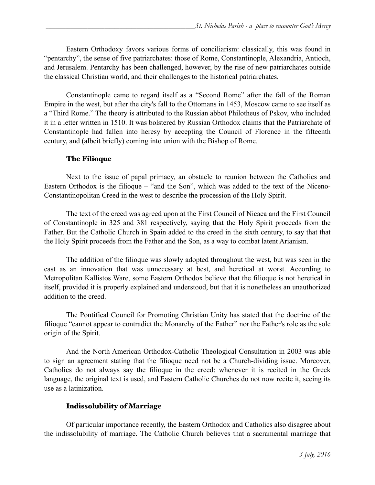Eastern Orthodoxy favors various forms of conciliarism: classically, this was found in "pentarchy", the sense of five patriarchates: those of Rome, Constantinople, Alexandria, Antioch, and Jerusalem. Pentarchy has been challenged, however, by the rise of new patriarchates outside the classical Christian world, and their challenges to the historical patriarchates.

Constantinople came to regard itself as a "Second Rome" after the fall of the Roman Empire in the west, but after the city's fall to the Ottomans in 1453, Moscow came to see itself as a "Third Rome." The theory is attributed to the Russian abbot Philotheus of Pskov, who included it in a letter written in 1510. It was bolstered by Russian Orthodox claims that the Patriarchate of Constantinople had fallen into heresy by accepting the Council of Florence in the fifteenth century, and (albeit briefly) coming into union with the Bishop of Rome.

### The Filioque

 Next to the issue of papal primacy, an obstacle to reunion between the Catholics and Eastern Orthodox is the filioque – "and the Son", which was added to the text of the Niceno-Constantinopolitan Creed in the west to describe the procession of the Holy Spirit.

The text of the creed was agreed upon at the First Council of Nicaea and the First Council of Constantinople in 325 and 381 respectively, saying that the Holy Spirit proceeds from the Father. But the Catholic Church in Spain added to the creed in the sixth century, to say that that the Holy Spirit proceeds from the Father and the Son, as a way to combat latent Arianism.

The addition of the filioque was slowly adopted throughout the west, but was seen in the [east as an innovation that was unnecessary at best, and heretical at worst. According to](https://www.amazon.com/Orthodox-Church-Introduction-Eastern-Christianity/dp/014198063X/ref=pd_bxgy_14_2?ie=UTF8&refRID=CS5WJKBECT68EPCM8F0A)  Metropolitan Kallistos Ware, some Eastern Orthodox believe that the filioque is not heretical in itself, provided it is properly explained and understood, but that it is nonetheless an unauthorized addition to the creed.

The Pontifical Council for Promoting Christian Unity [has stated](https://www.ewtn.com/library/CURIA/PCCUFILQ.HTM) that the doctrine of the filioque "cannot appear to contradict the Monarchy of the Father" nor the Father's role as the sole origin of the Spirit.

And the North American Orthodox-Catholic Theological Consultation in 2003 was able [to sign an agreement](http://www.usccb.org/beliefs-and-teachings/ecumenical-and-interreligious/ecumenical/orthodox/filioque-church-dividing-issue-english.cfm) stating that the filioque need not be a Church-dividing issue. Moreover, Catholics do not always say the filioque in the creed: whenever it is recited in the Greek language, the original text is used, and Eastern Catholic Churches do not now recite it, seeing its use as a latinization.

#### Indissolubility of Marriage

Of particular importance recently, the Eastern Orthodox and Catholics also disagree about the indissolubility of marriage. The Catholic Church believes that a sacramental marriage that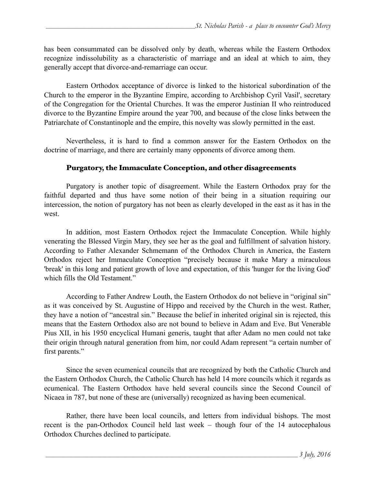has been consummated can be dissolved only by death, whereas while the Eastern Orthodox recognize indissolubility as a characteristic of marriage and an ideal at which to aim, they generally accept that divorce-and-remarriage can occur.

Eastern Orthodox acceptance of divorce is linked to the historical subordination of the Church to the emperor in the Byzantine Empire, [according to Archbishop Cyril Vasil](https://www.amazon.com/Remaining-Truth-Christ-Marriage-Communion/dp/1586179950/ref=sr_1_1?ie=UTF8&qid=1467234646&sr=8-1&keywords=remaining+in+the+truth+of+christ)', secretary of the Congregation for the Oriental Churches. It was the emperor Justinian II who reintroduced divorce to the Byzantine Empire around the year 700, and because of the close links between the Patriarchate of Constantinople and the empire, this novelty was slowly permitted in the east.

Nevertheless, it is hard to find a common answer for the Eastern Orthodox on the doctrine of marriage, and there are certainly many opponents of divorce among them.

### Purgatory, the Immaculate Conception, and other disagreements

Purgatory is another topic of disagreement. While the Eastern Orthodox pray for the faithful departed and thus have some notion of their being in a situation requiring our intercession, the notion of purgatory has not been as clearly developed in the east as it has in the west.

In addition, most Eastern Orthodox reject the Immaculate Conception. While highly venerating the Blessed Virgin Mary, they see her as the goal and fulfillment of salvation history. [According to Father Alexander Schmemann](https://www.amazon.com/Life-World-Sacraments-Orthodoxy/dp/0913836087/ref=sr_1_1?ie=UTF8&qid=1467234210&sr=8-1&keywords=for+the+life+of+the+world) of the Orthodox Church in America, the Eastern Orthodox reject her Immaculate Conception "precisely because it make Mary a miraculous 'break' in this long and patient growth of love and expectation, of this 'hunger for the living God' which fills the Old Testament."

[According to Father Andrew Louth](https://www.amazon.com/Introducing-Eastern-Orthodox-Theology-Andrew/dp/0830840451/ref=sr_1_1?ie=UTF8&qid=1467236018&sr=8-1&keywords=introducing+eastern+orthodox+theology), the Eastern Orthodox do not believe in "original sin" as it was conceived by St. Augustine of Hippo and received by the Church in the west. Rather, they have a notion of "ancestral sin." Because the belief in inherited original sin is rejected, this means that the Eastern Orthodox also are not bound to believe in Adam and Eve. But Venerable Pius XII, in his 1950 encyclical [Humani generis,](http://w2.vatican.va/content/pius-xii/en/encyclicals/documents/hf_p-xii_enc_12081950_humani-generis.html) taught that after Adam no men could not take their origin through natural generation from him, nor could Adam represent "a certain number of first parents."

Since the seven ecumenical councils that are recognized by both the Catholic Church and the Eastern Orthodox Church, the Catholic Church has held 14 more councils which it regards as ecumenical. The Eastern Orthodox have held several councils since the Second Council of Nicaea in 787, but none of these are (universally) recognized as having been ecumenical.

 Rather, there have been local councils, and letters from individual bishops. The most recent is the pan-Orthodox Council held last week – though four of the 14 autocephalous Orthodox Churches declined to participate.